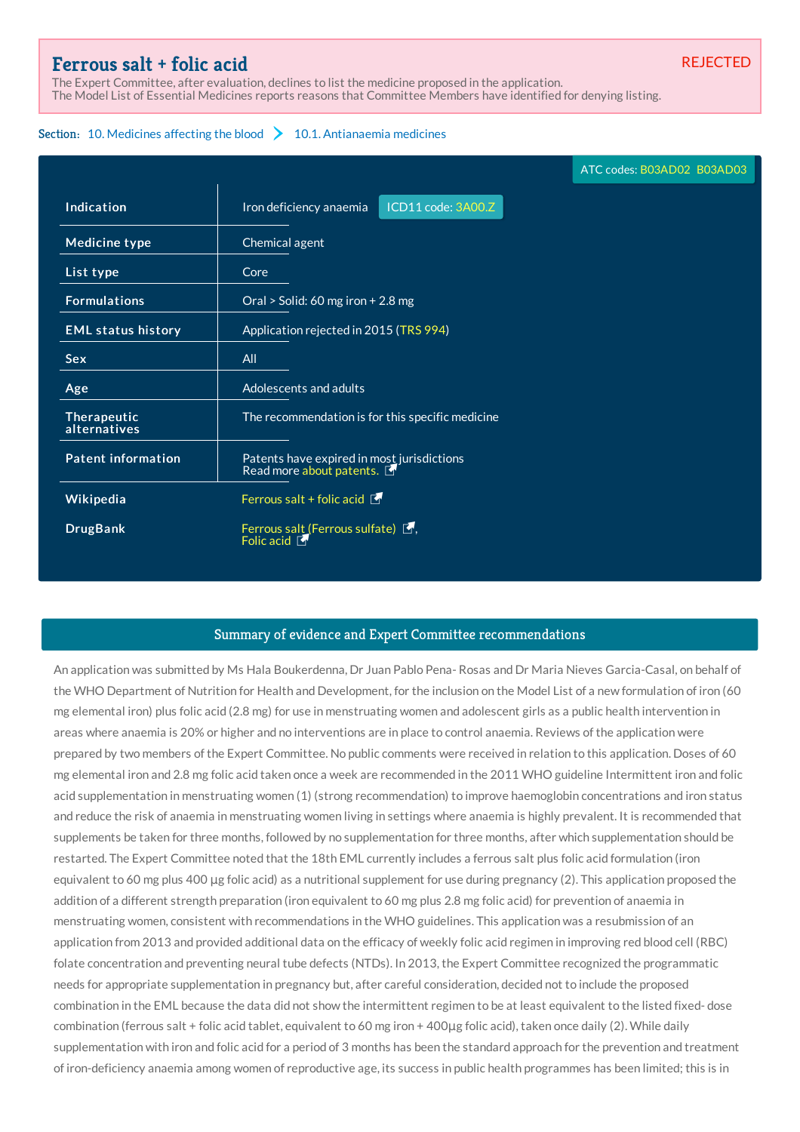## **[Ferrous](http://list.essentialmeds.org/medicines/394) salt + folic acid**

The Expert Committee, after evaluation, declines to list the medicine proposed in the application. The Model List of Essential Medicines reports reasons that Committee Members have identified for denying listing.

## Section: 10. [Medicines](http://list.essentialmeds.org/?section=379) affecting the blood  $\sum$  10.1. [Antianaemia](http://list.essentialmeds.org/?section=380) medicines

|                             | ATC codes: B03AD02 B03AD03                                             |
|-----------------------------|------------------------------------------------------------------------|
| Indication                  | ICD11 code: 3A00.Z<br>Iron deficiency anaemia                          |
| Medicine type               | Chemical agent                                                         |
| List type                   | Core                                                                   |
| <b>Formulations</b>         | Oral > Solid: 60 mg iron + 2.8 mg                                      |
| <b>EML status history</b>   | Application rejected in 2015 (TRS 994)                                 |
| <b>Sex</b>                  | All                                                                    |
| Age                         | Adolescents and adults                                                 |
| Therapeutic<br>alternatives | The recommendation is for this specific medicine                       |
| <b>Patent information</b>   | Patents have expired in most jurisdictions<br>Read more about patents. |
| Wikipedia                   | Ferrous salt + folic acid $\blacksquare$                               |
| <b>DrugBank</b>             | Ferrous salt (Ferrous sulfate) [5,<br>Folic acid                       |

## Summary of evidence and Expert Committee recommendations

An application was submitted by Ms Hala Boukerdenna, Dr Juan Pablo Pena- Rosas and Dr Maria Nieves Garcia-Casal, on behalf of the WHO Department of Nutrition for Health and Development, for the inclusion on the Model List of a new formulation of iron (60 mg elemental iron) plus folic acid (2.8 mg) for use in menstruating women and adolescent girls as a public health intervention in areas where anaemia is 20% or higher and no interventions are in place to control anaemia. Reviews of the application were prepared by two members of the Expert Committee. No public comments were received in relation to this application. Doses of 60 mg elemental iron and 2.8 mg folic acid taken once a week are recommended in the 2011 WHO guideline Intermittent iron and folic acid supplementation in menstruating women (1) (strong recommendation) to improve haemoglobin concentrations and iron status and reduce the risk of anaemia in menstruating women living in settings where anaemia is highly prevalent. It is recommended that supplements be taken for three months, followed by no supplementation for three months, after which supplementation should be restarted. The Expert Committee noted that the 18th EML currently includes a ferrous salt plus folic acid formulation (iron equivalent to 60 mg plus 400 μg folic acid) as a nutritional supplement for use during pregnancy (2). This application proposed the addition of a different strength preparation (iron equivalent to 60 mg plus 2.8 mg folic acid) for prevention of anaemia in menstruating women, consistent with recommendations in the WHO guidelines. This application was a resubmission of an application from 2013 and provided additional data on the efficacy of weekly folic acid regimen in improving red blood cell (RBC) folate concentration and preventing neural tube defects (NTDs). In 2013, the Expert Committee recognized the programmatic needs for appropriate supplementation in pregnancy but, after careful consideration, decided not to include the proposed combination in the EML because the data did not show the intermittent regimen to be at least equivalent to the listed fixed- dose combination (ferrous salt + folic acid tablet, equivalent to 60 mg iron + 400μg folic acid), taken once daily (2). While daily supplementation with iron and folic acid for a period of 3 months has been the standard approach for the prevention and treatment of iron-deficiency anaemia among women of reproductive age, its success in public health programmes has been limited; this is in